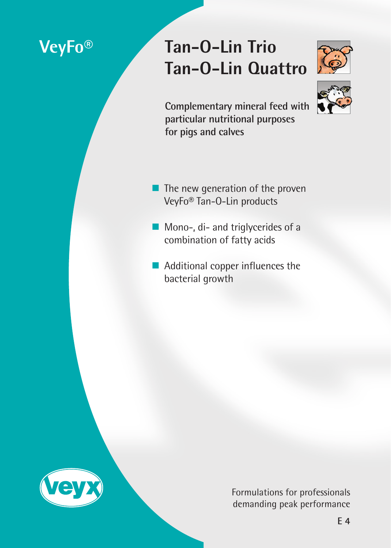# **VeyFo® Tan-O-Lin Trio Tan-O-Lin Quattro**





**Complementary mineral feed with particular nutritional purposes for pigs and calves**

- The new generation of the proven VeyFo® Tan-O-Lin products
- Mono-, di- and triglycerides of a combination of fatty acids
- Additional copper influences the bacterial growth



Formulations for professionals demanding peak performance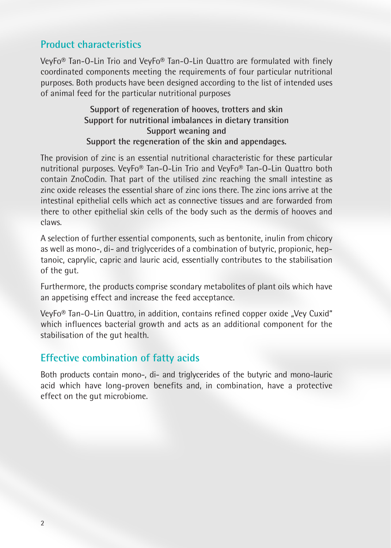# **Product characteristics**

VeyFo® Tan-O-Lin Trio and VeyFo® Tan-O-Lin Quattro are formulated with finely coordinated components meeting the requirements of four particular nutritional purposes. Both products have been designed according to the list of intended uses of animal feed for the particular nutritional purposes

#### **Support of regeneration of hooves, trotters and skin Support for nutritional imbalances in dietary transition Support weaning and Support the regeneration of the skin and appendages.**

The provision of zinc is an essential nutritional characteristic for these particular nutritional purposes. VeyFo® Tan-O-Lin Trio and VeyFo® Tan-O-Lin Quattro both contain ZnoCodin. That part of the utilised zinc reaching the small intestine as zinc oxide releases the essential share of zinc ions there. The zinc ions arrive at the intestinal epithelial cells which act as connective tissues and are forwarded from there to other epithelial skin cells of the body such as the dermis of hooves and claws.

A selection of further essential components, such as bentonite, inulin from chicory as well as mono-, di- and triglycerides of a combination of butyric, propionic, heptanoic, caprylic, capric and lauric acid, essentially contributes to the stabilisation of the gut.

Furthermore, the products comprise scondary metabolites of plant oils which have an appetising effect and increase the feed acceptance.

VeyFo<sup>®</sup> Tan-O-Lin Quattro, in addition, contains refined copper oxide "Vey Cuxid" which influences bacterial growth and acts as an additional component for the stabilisation of the gut health.

# **Effective combination of fatty acids**

Both products contain mono-, di- and triglycerides of the butyric and mono-lauric acid which have long-proven benefits and, in combination, have a protective effect on the gut microbiome.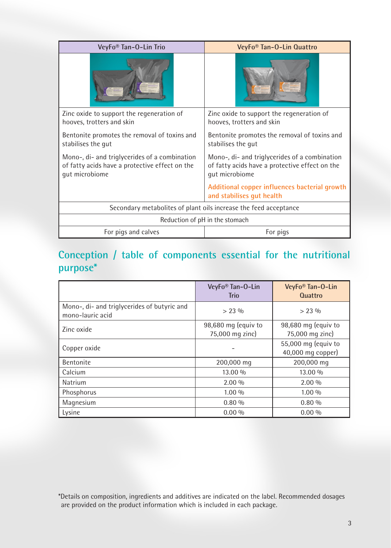| VeyFo <sup>®</sup> Tan-O-Lin Trio                                                                                 | VeyFo <sup>®</sup> Tan-O-Lin Quattro                                                                              |  |
|-------------------------------------------------------------------------------------------------------------------|-------------------------------------------------------------------------------------------------------------------|--|
|                                                                                                                   |                                                                                                                   |  |
| Zinc oxide to support the regeneration of<br>hooves, trotters and skin                                            | Zinc oxide to support the regeneration of<br>hooves, trotters and skin                                            |  |
| Bentonite promotes the removal of toxins and<br>stabilises the gut                                                | Bentonite promotes the removal of toxins and<br>stabilises the gut                                                |  |
| Mono-, di- and triglycerides of a combination<br>of fatty acids have a protective effect on the<br>qut microbiome | Mono-, di- and triglycerides of a combination<br>of fatty acids have a protective effect on the<br>qut microbiome |  |
|                                                                                                                   | Additional copper influences bacterial growth<br>and stabilises gut health                                        |  |
| Secondary metabolites of plant oils increase the feed acceptance                                                  |                                                                                                                   |  |
| Reduction of pH in the stomach                                                                                    |                                                                                                                   |  |
| For pigs and calves                                                                                               | For pigs                                                                                                          |  |

# **Conception / table of components essential for the nutritional purpose\***

|                                                                 | VeyFo <sup>®</sup> Tan-O-Lin<br><b>Trio</b> | VeyFo <sup>®</sup> Tan-O-Lin<br><b>Quattro</b> |
|-----------------------------------------------------------------|---------------------------------------------|------------------------------------------------|
| Mono-, di- and triglycerides of butyric and<br>mono-lauric acid | $> 23\%$                                    | $> 23\%$                                       |
| Zinc oxide                                                      | 98,680 mg (equiv to<br>75,000 mg zinc)      | 98,680 mg (equiv to<br>75,000 mg zinc)         |
| Copper oxide                                                    |                                             | 55,000 mg (equiv to<br>40,000 mg copper)       |
| Bentonite                                                       | 200,000 mg                                  | 200,000 mg                                     |
| Calcium                                                         | 13.00 %                                     | 13.00 %                                        |
| Natrium                                                         | $2.00\%$                                    | $2.00\%$                                       |
| Phosphorus                                                      | $1.00\%$                                    | 1.00 %                                         |
| Magnesium                                                       | 0.80%                                       | 0.80%                                          |
| Lysine                                                          | $0.00\%$                                    | $0.00\%$                                       |

<sup>\*</sup>Details on composition, ingredients and additives are indicated on the label. Recommended dosages are provided on the product information which is included in each package.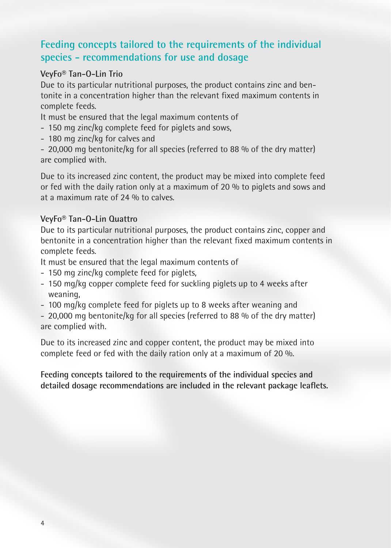# **Feeding concepts tailored to the requirements of the individual species - recommendations for use and dosage**

#### **VeyFo® Tan-O-Lin Trio**

Due to its particular nutritional purposes, the product contains zinc and bentonite in a concentration higher than the relevant fixed maximum contents in complete feeds.

It must be ensured that the legal maximum contents of

- 150 mg zinc/kg complete feed for piglets and sows,
- 180 mg zinc/kg for calves and

- 20,000 mg bentonite/kg for all species (referred to 88 % of the dry matter) are complied with.

Due to its increased zinc content, the product may be mixed into complete feed or fed with the daily ration only at a maximum of 20 % to piglets and sows and at a maximum rate of 24 % to calves.

#### **VeyFo® Tan-O-Lin Quattro**

Due to its particular nutritional purposes, the product contains zinc, copper and bentonite in a concentration higher than the relevant fixed maximum contents in complete feeds.

It must be ensured that the legal maximum contents of

- 150 mg zinc/kg complete feed for piglets,
- 150 mg/kg copper complete feed for suckling piglets up to 4 weeks after weaning,
- 100 mg/kg complete feed for piglets up to 8 weeks after weaning and

- 20,000 mg bentonite/kg for all species (referred to 88 % of the dry matter) are complied with.

Due to its increased zinc and copper content, the product may be mixed into complete feed or fed with the daily ration only at a maximum of 20 %.

**Feeding concepts tailored to the requirements of the individual species and detailed dosage recommendations are included in the relevant package leaflets.**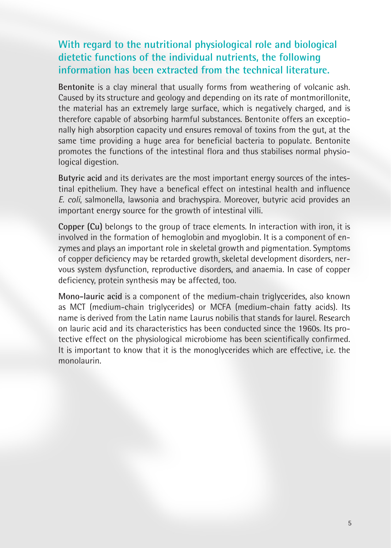# **With regard to the nutritional physiological role and biological dietetic functions of the individual nutrients, the following information has been extracted from the technical literature.**

**Bentonite** is a clay mineral that usually forms from weathering of volcanic ash. Caused by its structure and geology and depending on its rate of montmorillonite, the material has an extremely large surface, which is negatively charged, and is therefore capable of absorbing harmful substances. Bentonite offers an exceptionally high absorption capacity und ensures removal of toxins from the gut, at the same time providing a huge area for beneficial bacteria to populate. Bentonite promotes the functions of the intestinal flora and thus stabilises normal physiological digestion.

**Butyric acid** and its derivates are the most important energy sources of the intestinal epithelium. They have a benefical effect on intestinal health and influence *E. coli*, salmonella, lawsonia and brachyspira. Moreover, butyric acid provides an important energy source for the growth of intestinal villi.

**Copper (Cu)** belongs to the group of trace elements. In interaction with iron, it is involved in the formation of hemoglobin and myoglobin. It is a component of enzymes and plays an important role in skeletal growth and pigmentation. Symptoms of copper deficiency may be retarded growth, skeletal development disorders, nervous system dysfunction, reproductive disorders, and anaemia. In case of copper deficiency, protein synthesis may be affected, too.

**Mono-lauric acid** is a component of the medium-chain triglycerides, also known as MCT (medium-chain triglycerides) or MCFA (medium-chain fatty acids). Its name is derived from the Latin name Laurus nobilis that stands for laurel. Research on lauric acid and its characteristics has been conducted since the 1960s. Its protective effect on the physiological microbiome has been scientifically confirmed. It is important to know that it is the monoglycerides which are effective, i.e. the monolaurin.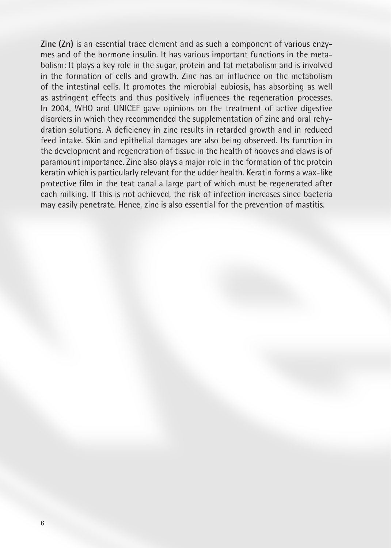**Zinc (Zn)** is an essential trace element and as such a component of various enzymes and of the hormone insulin. It has various important functions in the metabolism: It plays a key role in the sugar, protein and fat metabolism and is involved in the formation of cells and growth. Zinc has an influence on the metabolism of the intestinal cells. It promotes the microbial eubiosis, has absorbing as well as astringent effects and thus positively influences the regeneration processes. In 2004, WHO and UNICEF gave opinions on the treatment of active digestive disorders in which they recommended the supplementation of zinc and oral rehydration solutions. A deficiency in zinc results in retarded growth and in reduced feed intake. Skin and epithelial damages are also being observed. Its function in the development and regeneration of tissue in the health of hooves and claws is of paramount importance. Zinc also plays a major role in the formation of the protein keratin which is particularly relevant for the udder health. Keratin forms a wax-like protective film in the teat canal a large part of which must be regenerated after each milking. If this is not achieved, the risk of infection increases since bacteria may easily penetrate. Hence, zinc is also essential for the prevention of mastitis.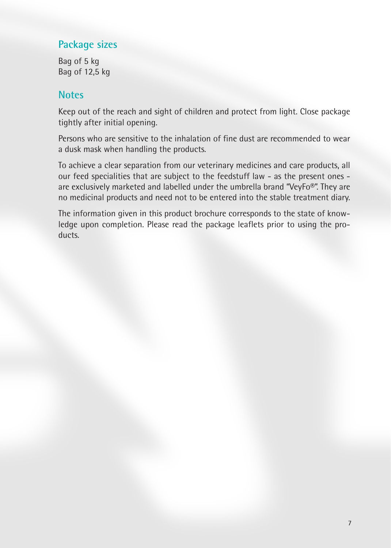## **Package sizes**

Bag of 5 kg Bag of 12,5 kg

### **Notes**

Keep out of the reach and sight of children and protect from light. Close package tightly after initial opening.

Persons who are sensitive to the inhalation of fine dust are recommended to wear a dusk mask when handling the products.

To achieve a clear separation from our veterinary medicines and care products, all our feed specialities that are subject to the feedstuff law - as the present ones are exclusively marketed and labelled under the umbrella brand "VeyFo®". They are no medicinal products and need not to be entered into the stable treatment diary.

The information given in this product brochure corresponds to the state of knowledge upon completion. Please read the package leaflets prior to using the products.